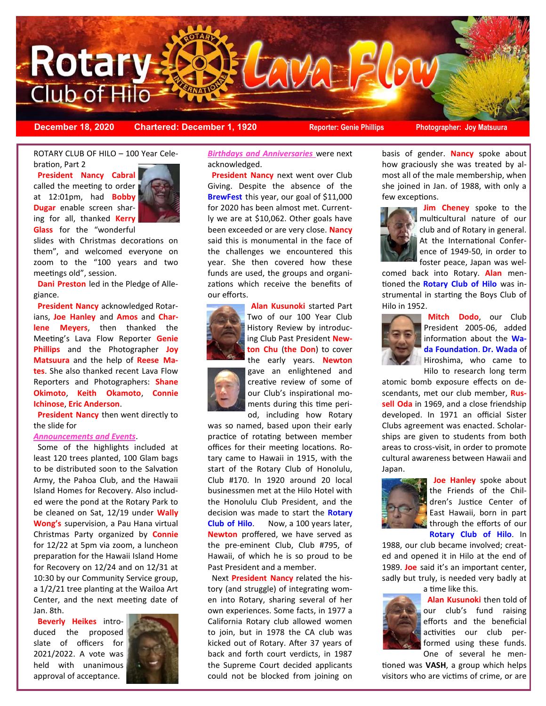

**December 18, 2020 Chartered: December 1, 1920 Reporter: Genie Phillips Photographer: Joy Matsuura**

ROTARY CLUB OF HILO – 100 Year Celebration, Part 2

 **President Nancy Cabral**  called the meeting to order at 12:01pm, had **Bobby Dugar** enable screen sharing for all, thanked **Kerry Glass** for the "wonderful



slides with Christmas decorations on them", and welcomed everyone on zoom to the "100 years and two meetings old", session.

 **Dani Preston** led in the Pledge of Allegiance.

 **President Nancy** acknowledged Rotarians, **Joe Hanley** and **Amos** and **Charlene Meyers**, then thanked the Meeting's Lava Flow Reporter **Genie Phillips** and the Photographer **Joy Matsuura** and the help of **Reese Mates**. She also thanked recent Lava Flow Reporters and Photographers: **Shane Okimoto**, **Keith Okamoto**, **Connie Ichinose**, **Eric Anderson**.

 **President Nancy** then went directly to the slide for

#### *Announcements and Events*.

 Some of the highlights included at least 120 trees planted, 100 Glam bags to be distributed soon to the Salvation Army, the Pahoa Club, and the Hawaii Island Homes for Recovery. Also included were the pond at the Rotary Park to be cleaned on Sat, 12/19 under **Wally Wong's** supervision, a Pau Hana virtual Christmas Party organized by **Connie** for 12/22 at 5pm via zoom, a luncheon preparation for the Hawaii Island Home for Recovery on 12/24 and on 12/31 at 10:30 by our Community Service group, a 1/2/21 tree planting at the Wailoa Art Center, and the next meeting date of Jan. 8th.

 **Beverly Heikes** introduced the proposed slate of officers for 2021/2022. A vote was held with unanimous approval of acceptance.



*Birthdays and Anniversaries* were next acknowledged.

 **President Nancy** next went over Club Giving. Despite the absence of the **BrewFest** this year, our goal of \$11,000 for 2020 has been almost met. Currently we are at \$10,062. Other goals have been exceeded or are very close. **Nancy** said this is monumental in the face of the challenges we encountered this year. She then covered how these funds are used, the groups and organizations which receive the benefits of our efforts.



 **Alan Kusunoki** started Part Two of our 100 Year Club History Review by introducing Club Past President **Newton Chu** (**the Don**) to cover the early years. **Newton**

gave an enlightened and creative review of some of our Club's inspirational moments during this time period, including how Rotary

was so named, based upon their early practice of rotating between member offices for their meeting locations. Rotary came to Hawaii in 1915, with the start of the Rotary Club of Honolulu, Club #170. In 1920 around 20 local businessmen met at the Hilo Hotel with the Honolulu Club President, and the decision was made to start the **Rotary Club of Hilo**. Now, a 100 years later, **Newton** proffered, we have served as the pre-eminent Club, Club #795, of Hawaii, of which he is so proud to be Past President and a member.

 Next **President Nancy** related the history (and struggle) of integrating women into Rotary, sharing several of her own experiences. Some facts, in 1977 a California Rotary club allowed women to join, but in 1978 the CA club was kicked out of Rotary. After 37 years of back and forth court verdicts, in 1987 the Supreme Court decided applicants could not be blocked from joining on basis of gender. **Nancy** spoke about how graciously she was treated by almost all of the male membership, when she joined in Jan. of 1988, with only a few exceptions.



 **Jim Cheney** spoke to the multicultural nature of our club and of Rotary in general. At the International Conference of 1949-50, in order to foster peace, Japan was wel-

comed back into Rotary. **Alan** mentioned the **Rotary Club of Hilo** was instrumental in starting the Boys Club of Hilo in 1952.



 **Mitch Dodo**, our Club President 2005-06, added information about the **Wada Foundation**. **Dr. Wada** of Hiroshima, who came to Hilo to research long term

atomic bomb exposure effects on descendants, met our club member, **Russell Oda** in 1969, and a close friendship developed. In 1971 an official Sister Clubs agreement was enacted. Scholarships are given to students from both areas to cross-visit, in order to promote cultural awareness between Hawaii and Japan.



 **Joe Hanley** spoke about the Friends of the Children's Justice Center of East Hawaii, born in part through the efforts of our

**Rotary Club of Hilo**. In

1988, our club became involved; created and opened it in Hilo at the end of 1989. **Joe** said it's an important center, sadly but truly, is needed very badly at a time like this.



 **Alan Kusunoki** then told of our club's fund raising efforts and the beneficial activities our club performed using these funds. One of several he men-

tioned was **VASH**, a group which helps visitors who are victims of crime, or are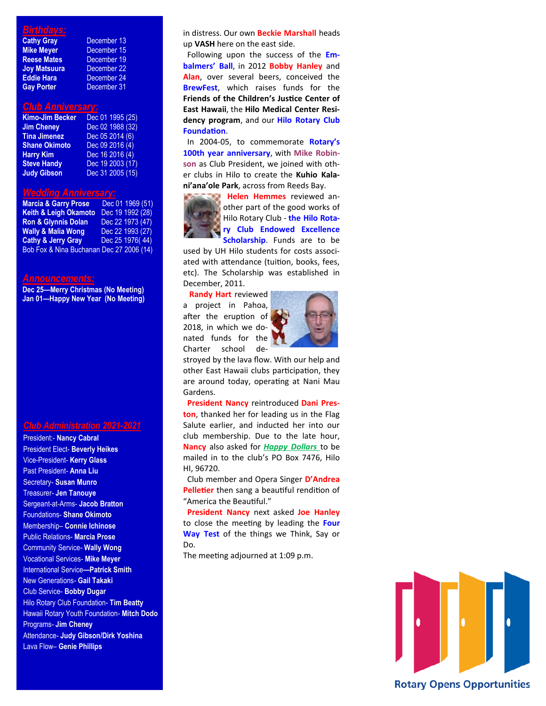### *Birthdays:*

| <b>Cathy Gray</b>   | December 13            |
|---------------------|------------------------|
| <b>Mike Meyer</b>   | December 15            |
| <b>Reese Mates</b>  | December 19            |
| <b>Joy Matsuura</b> | December <sub>22</sub> |
| <b>Eddie Hara</b>   | December 24            |
| <b>Gay Porter</b>   | December 31            |

## mber 19 mber 22

### *Club Anniversary:*

| <b>Kimo-Jim Becker</b> | Dec 01 1995 (25) |
|------------------------|------------------|
| <b>Jim Cheney</b>      | Dec 02 1988 (32) |
| <b>Tina Jimenez</b>    | Dec 05 2014 (6)  |
| <b>Shane Okimoto</b>   | Dec 09 2016 (4)  |
| <b>Harry Kim</b>       | Dec 16 2016 (4)  |
| <b>Steve Handy</b>     | Dec 19 2003 (17) |
| <b>Judy Gibson</b>     | Dec 31 2005 (15) |

### *Wedding Anniversary:*

| <b>Marcia &amp; Garry Prose</b>          | Dec 01 1969 (51) |
|------------------------------------------|------------------|
| <b>Keith &amp; Leigh Okamoto</b>         | Dec 19 1992 (28) |
| <b>Ron &amp; Glynnis Dolan</b>           | Dec 22 1973 (47) |
| <b>Wally &amp; Malia Wong</b>            | Dec 22 1993 (27) |
| <b>Cathy &amp; Jerry Gray</b>            | Dec 25 1976(44)  |
| Bob Fox & Nina Buchanan Dec 27 2006 (14) |                  |

#### *Announcements:*

**Dec 25—Merry Christmas (No Meeting) Jan 01—Happy New Year (No Meeting)**

#### *Club Administration 2021-2021*

President:- **Nancy Cabral**  President Elect- **Beverly Heikes** Vice-President- **Kerry Glass** Past President- **Anna Liu** Secretary- **Susan Munro** Treasurer- **Jen Tanouye** Sergeant-at-Arms- **Jacob Bratton** Foundations- **Shane Okimoto** Membership– **Connie Ichinose** Public Relations- **Marcia Prose** Community Service- **Wally Wong** Vocational Services- **Mike Meyer** International Service**—Patrick Smith** New Generations- **Gail Takaki** Club Service- **Bobby Dugar** Hilo Rotary Club Foundation- **Tim Beatty** Hawaii Rotary Youth Foundation- **Mitch Dodo** Programs- **Jim Cheney** Attendance- **Judy Gibson/Dirk Yoshina** Lava Flow– **Genie Phillips**

in distress. Our own **Beckie Marshall** heads up **VASH** here on the east side.

 Following upon the success of the **Embalmers' Ball**, in 2012 **Bobby Hanley** and **Alan**, over several beers, conceived the **BrewFest**, which raises funds for the **Friends of the Children's Justice Center of East Hawaii**, the **Hilo Medical Center Residency program**, and our **Hilo Rotary Club Foundation**.

 In 2004-05, to commemorate **Rotary's 100th year anniversary**, with **Mike Robinson** as Club President, we joined with other clubs in Hilo to create the **Kuhio Kalani'ana'ole Park**, across from Reeds Bay.



 **Helen Hemmes** reviewed another part of the good works of Hilo Rotary Club - **the Hilo Rotary Club Endowed Excellence Scholarship**. Funds are to be

used by UH Hilo students for costs associated with attendance (tuition, books, fees, etc). The Scholarship was established in December, 2011.

 **Randy Hart** reviewed a project in Pahoa, after the eruption of 2018, in which we donated funds for the Charter school de-



stroyed by the lava flow. With our help and other East Hawaii clubs participation, they are around today, operating at Nani Mau Gardens.

 **President Nancy** reintroduced **Dani Preston**, thanked her for leading us in the Flag Salute earlier, and inducted her into our club membership. Due to the late hour, **Nancy** also asked for *Happy Dollars* to be mailed in to the club's PO Box 7476, Hilo HI, 96720.

 Club member and Opera Singer **D'Andrea Pelletier** then sang a beautiful rendition of "America the Beautiful."

 **President Nancy** next asked **Joe Hanley**  to close the meeting by leading the **Four Way Test** of the things we Think, Say or Do.

The meeting adjourned at 1:09 p.m.

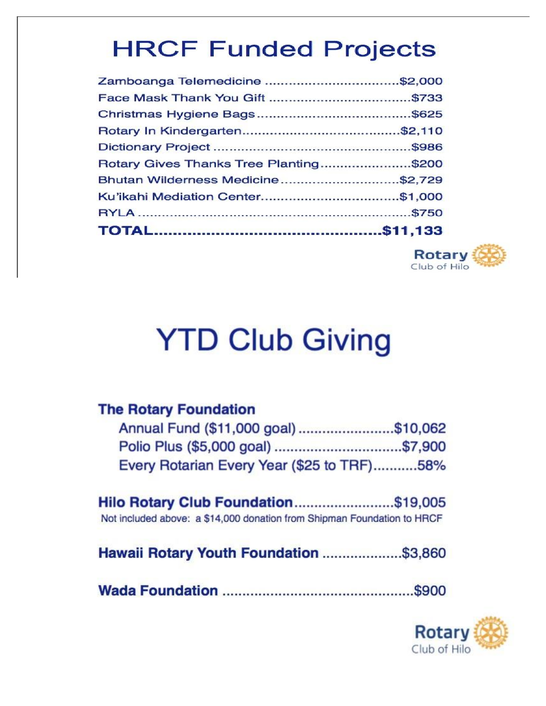# **HRCF Funded Projects**

| Zamboanga Telemedicine \$2,000         |  |
|----------------------------------------|--|
|                                        |  |
|                                        |  |
|                                        |  |
|                                        |  |
| Rotary Gives Thanks Tree Planting\$200 |  |
| Bhutan Wilderness Medicine\$2,729      |  |
|                                        |  |
|                                        |  |
|                                        |  |



# **YTD Club Giving**

## **The Rotary Foundation**

| Annual Fund (\$11,000 goal)\$10,062        |  |
|--------------------------------------------|--|
|                                            |  |
| Every Rotarian Every Year (\$25 to TRF)58% |  |

|  |  | Hilo Rotary Club Foundation\$19,005                                     |
|--|--|-------------------------------------------------------------------------|
|  |  | Not included above: a \$14,000 donation from Shipman Foundation to HRCF |

Hawaii Rotary Youth Foundation .....................\$3,860